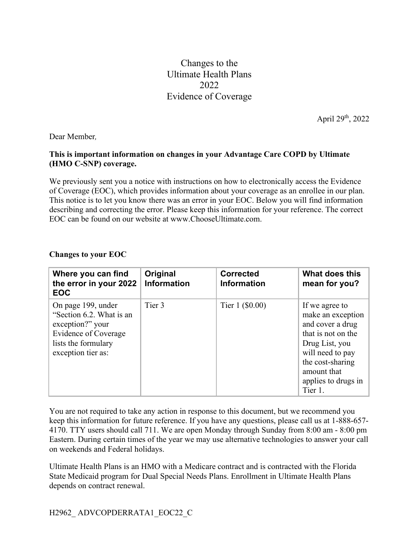Changes to the Ultimate Health Plans 2022 Evidence of Coverage

April 29th, 2022

Dear Member*,*

## **This is important information on changes in your Advantage Care COPD by Ultimate (HMO C-SNP) coverage.**

We previously sent you a notice with instructions on how to electronically access the Evidence of Coverage (EOC), which provides information about your coverage as an enrollee in our plan. This notice is to let you know there was an error in your EOC. Below you will find information describing and correcting the error. Please keep this information for your reference. The correct EOC can be found on our website at www.ChooseUltimate.com.

## **Changes to your EOC**

| Where you can find<br>the error in your 2022<br><b>EOC</b>                                                                                     | Original<br><b>Information</b> | <b>Corrected</b><br><b>Information</b> | What does this<br>mean for you?                                                                                                                                                          |
|------------------------------------------------------------------------------------------------------------------------------------------------|--------------------------------|----------------------------------------|------------------------------------------------------------------------------------------------------------------------------------------------------------------------------------------|
| On page 199, under<br>"Section 6.2. What is an<br>exception?" your<br><b>Evidence of Coverage</b><br>lists the formulary<br>exception tier as: | Tier 3                         | Tier $1$ (\$0.00)                      | If we agree to<br>make an exception<br>and cover a drug<br>that is not on the<br>Drug List, you<br>will need to pay<br>the cost-sharing<br>amount that<br>applies to drugs in<br>Tier 1. |

You are not required to take any action in response to this document, but we recommend you keep this information for future reference. If you have any questions, please call us at 1-888-657- 4170. TTY users should call 711. We are open Monday through Sunday from 8:00 am - 8:00 pm Eastern. During certain times of the year we may use alternative technologies to answer your call on weekends and Federal holidays.

Ultimate Health Plans is an HMO with a Medicare contract and is contracted with the Florida State Medicaid program for Dual Special Needs Plans. Enrollment in Ultimate Health Plans depends on contract renewal.